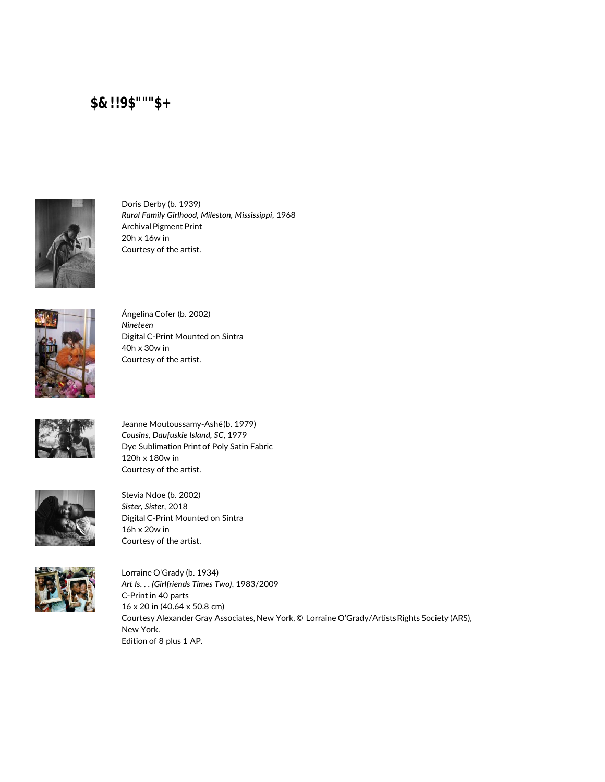

Doris Derby (b. 1939) *Rural Family Girlhood, Mileston, Mississippi*, 1968 Archival Pigment Print 20h x 16w in Courtesy of the artist.



Ángelina Cofer (b. 2002) *Nineteen* Digital C-Print Mounted on Sintra 40h x 30w in Courtesy of the artist.



Jeanne Moutoussamy-Ashé (b. 1979) *Cousins, Daufuskie Island, SC*, 1979 Dye Sublimation Print of Poly Satin Fabric 120h x 180w in Courtesy of the artist.



Stevia Ndoe (b. 2002) *Sister, Sister*, 2018 Digital C-Print Mounted on Sintra 16h x 20w in Courtesy of the artist.



Lorraine O'Grady (b. 1934) *Art Is. . . (Girlfriends Times Two)*, 1983/2009 C-Print in 40 parts 16 x 20 in (40.64 x 50.8 cm) Courtesy Alexander Gray Associates, New York, © Lorraine O'Grady/Artists Rights Society (ARS), New York. Edition of 8 plus 1 AP.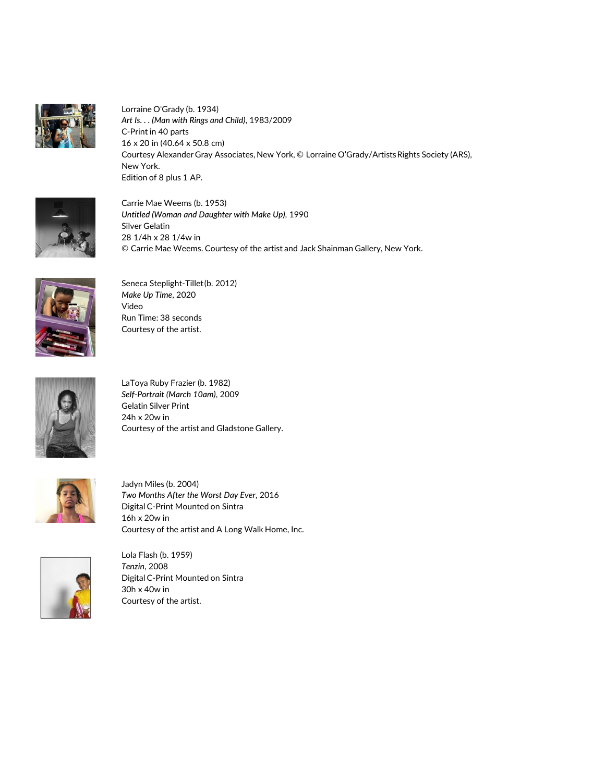

Lorraine O'Grady (b. 1934) *Art Is. . . (Man with Rings and Child)*, 1983/2009 C-Print in 40 parts 16 x 20 in (40.64 x 50.8 cm) Courtesy Alexander Gray Associates, New York, © Lorraine O'Grady/Artists Rights Society (ARS), New York. Edition of 8 plus 1 AP.



Carrie Mae Weems (b. 1953) *Untitled (Woman and Daughter with Make Up)*, 1990 Silver Gelatin 28 1/4h x 28 1/4w in © Carrie Mae Weems. Courtesy of the artist and Jack Shainman Gallery, New York.



Seneca Steplight-Tillet (b. 2012) *Make Up Time*, 2020 Video Run Time: 38 seconds Courtesy of the artist.



LaToya Ruby Frazier (b. 1982) *Self-Portrait (March 10am)*, 2009 Gelatin Silver Print 24h x 20w in Courtesy of the artist and Gladstone Gallery.



Jadyn Miles (b. 2004) *Two Months After the Worst Day Ever*, 2016 Digital C-Print Mounted on Sintra 16h x 20w in Courtesy of the artist and A Long Walk Home, Inc.



Lola Flash (b. 1959) *Tenzin*, 2008 Digital C-Print Mounted on Sintra 30h x 40w in Courtesy of the artist.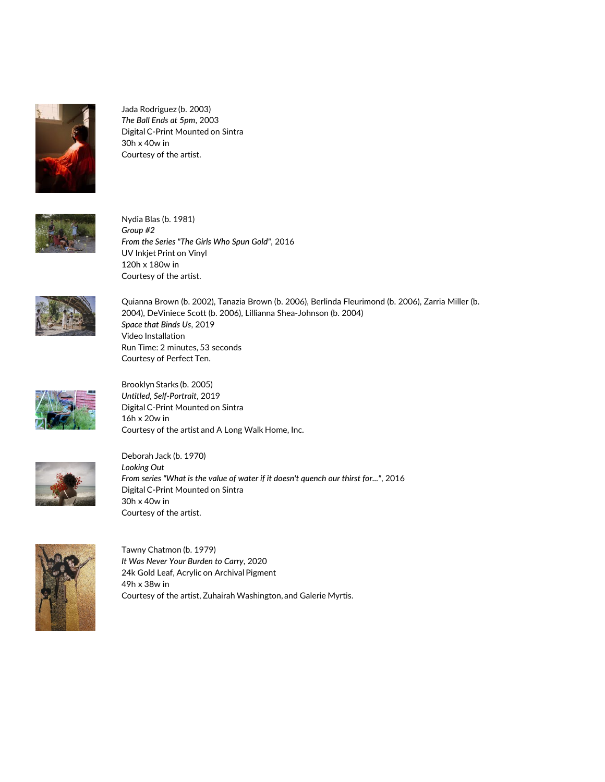

Jada Rodriguez (b. 2003) *The Ball Ends at 5pm*, 2003 Digital C-Print Mounted on Sintra 30h x 40w in Courtesy of the artist.



Nydia Blas (b. 1981) *Group #2 From the Series "The Girls Who Spun Gold"*, 2016 UV Inkjet Print on Vinyl 120h x 180w in Courtesy of the artist.



Quianna Brown (b. 2002), Tanazia Brown (b. 2006), Berlinda Fleurimond (b. 2006), Zarria Miller (b. 2004), DeViniece Scott (b. 2006), Lillianna Shea-Johnson (b. 2004) *Space that Binds Us*, 2019 Video Installation Run Time: 2 minutes, 53 seconds Courtesy of Perfect Ten.



Brooklyn Starks (b. 2005) *Untitled, Self-Portrait*, 2019 Digital C-Print Mounted on Sintra 16h x 20w in Courtesy of the artist and A Long Walk Home, Inc.



Deborah Jack (b. 1970) *Looking Out From series "What is the value of water if it doesn't quench our thirst for..."*, 2016 Digital C-Print Mounted on Sintra 30h x 40w in Courtesy of the artist.



Tawny Chatmon (b. 1979) *It Was Never Your Burden to Carry*, 2020 24k Gold Leaf, Acrylic on Archival Pigment 49h x 38w in Courtesy of the artist, Zuhairah Washington, and Galerie Myrtis.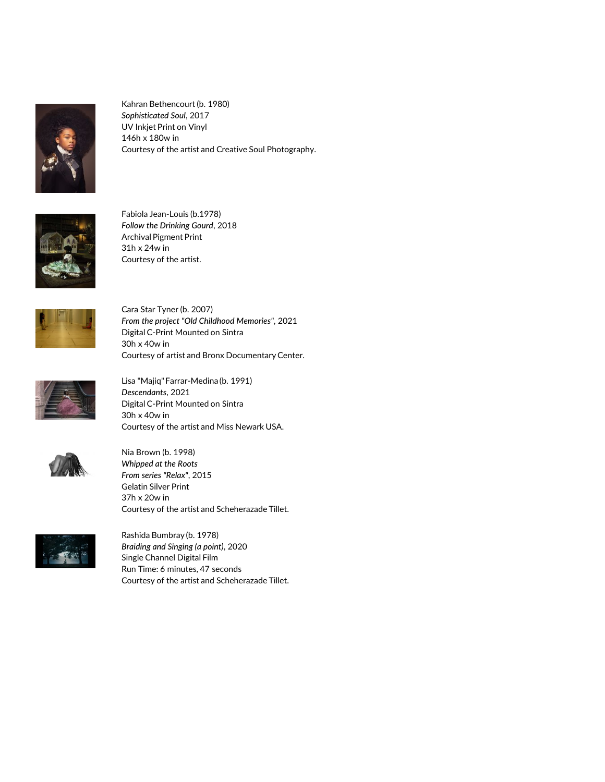

Kahran Bethencourt (b. 1980) *Sophisticated Soul*, 2017 UV Inkjet Print on Vinyl 146h x 180w in Courtesy of the artist and Creative Soul Photography.



Fabiola Jean-Louis (b.1978) *Follow the Drinking Gourd*, 2018 Archival Pigment Print 31h x 24w in Courtesy of the artist.



Cara Star Tyner (b. 2007) *From the project "Old Childhood Memories"*, 2021 Digital C-Print Mounted on Sintra 30h x 40w in Courtesy of artist and Bronx Documentary Center.



Lisa "Majiq" Farrar-Medina (b. 1991) *Descendants*, 2021 Digital C-Print Mounted on Sintra 30h x 40w in Courtesy of the artist and Miss Newark USA.



Nia Brown (b. 1998) *Whipped at the Roots From series "Relax"*, 2015 Gelatin Silver Print 37h x 20w in Courtesy of the artist and Scheherazade Tillet.



Rashida Bumbray (b. 1978) *Braiding and Singing (a point)*, 2020 Single Channel Digital Film Run Time: 6 minutes, 47 seconds Courtesy of the artist and Scheherazade Tillet.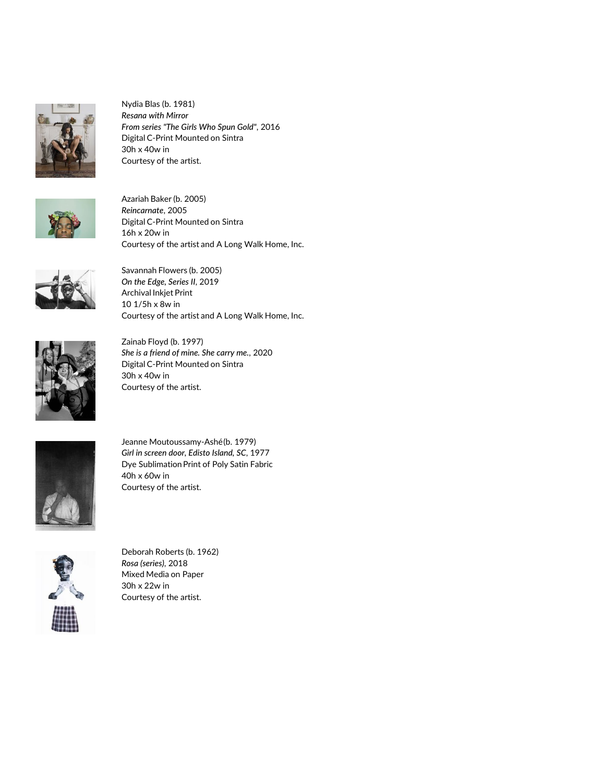

Nydia Blas (b. 1981) *Resana with Mirror From series "The Girls Who Spun Gold"*, 2016 Digital C-Print Mounted on Sintra 30h x 40w in Courtesy of the artist.



Azariah Baker (b. 2005) *Reincarnate*, 2005 Digital C-Print Mounted on Sintra 16h x 20w in Courtesy of the artist and A Long Walk Home, Inc.



Savannah Flowers (b. 2005) *On the Edge, Series II*, 2019 Archival Inkjet Print 10 1/5h x 8w in Courtesy of the artist and A Long Walk Home, Inc.



Zainab Floyd (b. 1997) *She is a friend of mine. She carry me.*, 2020 Digital C-Print Mounted on Sintra 30h x 40w in Courtesy of the artist.



Jeanne Moutoussamy-Ashé (b. 1979) *Girl in screen door, Edisto Island, SC*, 1977 Dye Sublimation Print of Poly Satin Fabric 40h x 60w in Courtesy of the artist.



Deborah Roberts (b. 1962) *Rosa (series)*, 2018 Mixed Media on Paper 30h x 22w in Courtesy of the artist.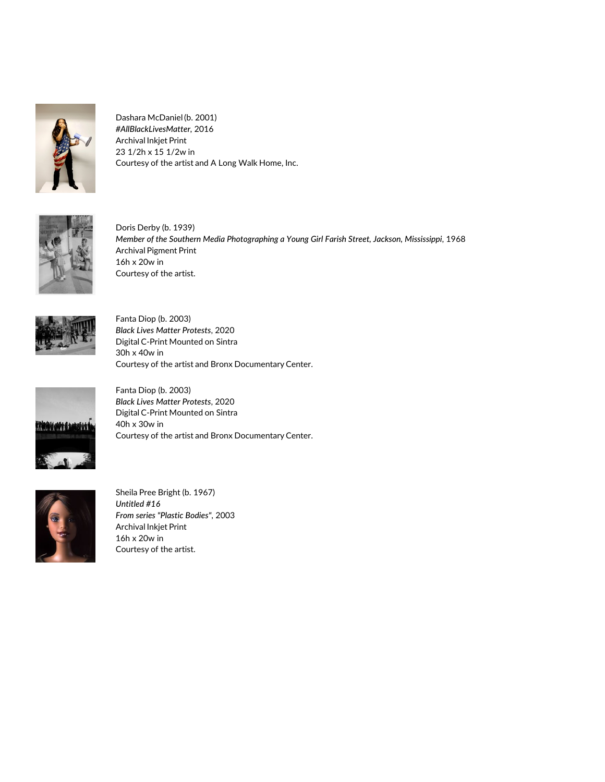

Dashara McDaniel (b. 2001) *#AllBlackLivesMatter,* 2016 Archival Inkjet Print 23 1/2h x 15 1/2w in Courtesy of the artist and A Long Walk Home, Inc.



Doris Derby (b. 1939) *Member of the Southern Media Photographing a Young Girl Farish Street, Jackson, Mississippi*, 1968 Archival Pigment Print 16h x 20w in Courtesy of the artist.



Fanta Diop (b. 2003) *Black Lives Matter Protests*, 2020 Digital C-Print Mounted on Sintra 30h x 40w in Courtesy of the artist and Bronx Documentary Center.



Fanta Diop (b. 2003) *Black Lives Matter Protests*, 2020 Digital C-Print Mounted on Sintra 40h x 30w in Courtesy of the artist and Bronx Documentary Center.



Sheila Pree Bright (b. 1967) *Untitled #16 From series "Plastic Bodies"*, 2003 Archival Inkjet Print 16h x 20w in Courtesy of the artist.